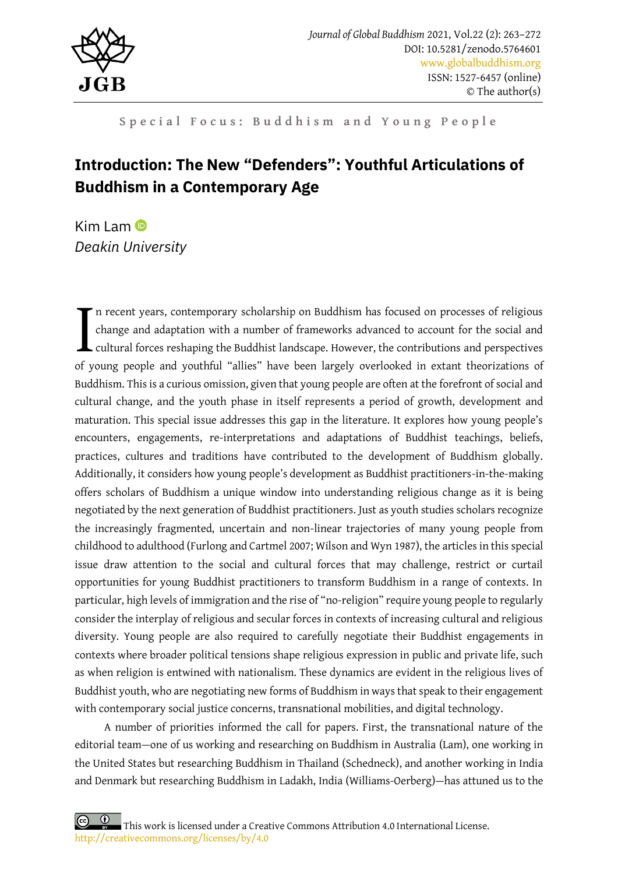

Special Focus: Buddhism and Young People

# **Introduction: The New "Defenders": Youthful Articulations of Buddhism in a Contemporary Age**

Kim Lam $\bullet$ *Deakin University*

n recent years, contemporary scholarship on Buddhism has focused on processes of religious change and adaptation with a number of frameworks advanced to account for the social and cultural forces reshaping the Buddhist landscape. However, the contributions and perspectives In recent years, contemporary scholarship on Buddhism has focused on processes of religious change and adaptation with a number of frameworks advanced to account for the social and cultural forces reshaping the Buddhist la Buddhism. This is a curious omission, given that young people are often at the forefront of social and cultural change, and the youth phase in itself represents a period of growth, development and maturation. This special issue addresses this gap in the literature. It explores how young people's encounters, engagements, re-interpretations and adaptations of Buddhist teachings, beliefs, practices, cultures and traditions have contributed to the development of Buddhism globally. Additionally, it considers how young people's development as Buddhist practitioners-in-the-making offers scholars of Buddhism a unique window into understanding religious change as it is being negotiated by the next generation of Buddhist practitioners. Just as youth studies scholars recognize the increasingly fragmented, uncertain and non-linear trajectories of many young people from childhood to adulthood (Furlong and Cartmel 2007; Wilson and Wyn 1987), the articles in this special issue draw attention to the social and cultural forces that may challenge, restrict or curtail opportunities for young Buddhist practitioners to transform Buddhism in a range of contexts. In particular, high levels of immigration and the rise of "no-religion" require young people to regularly consider the interplay of religious and secular forces in contexts of increasing cultural and religious diversity. Young people are also required to carefully negotiate their Buddhist engagements in contexts where broader political tensions shape religious expression in public and private life, such as when religion is entwined with nationalism. These dynamics are evident in the religious lives of Buddhist youth, who are negotiating new forms of Buddhism in ways that speak to their engagement with contemporary social justice concerns, transnational mobilities, and digital technology.

A number of priorities informed the call for papers. First, the transnational nature of the editorial team—one of us working and researching on Buddhism in Australia (Lam), one working in the United States but researching Buddhism in Thailand (Schedneck), and another working in India and Denmark but researching Buddhism in Ladakh, India (Williams-Oerberg)—has attuned us to the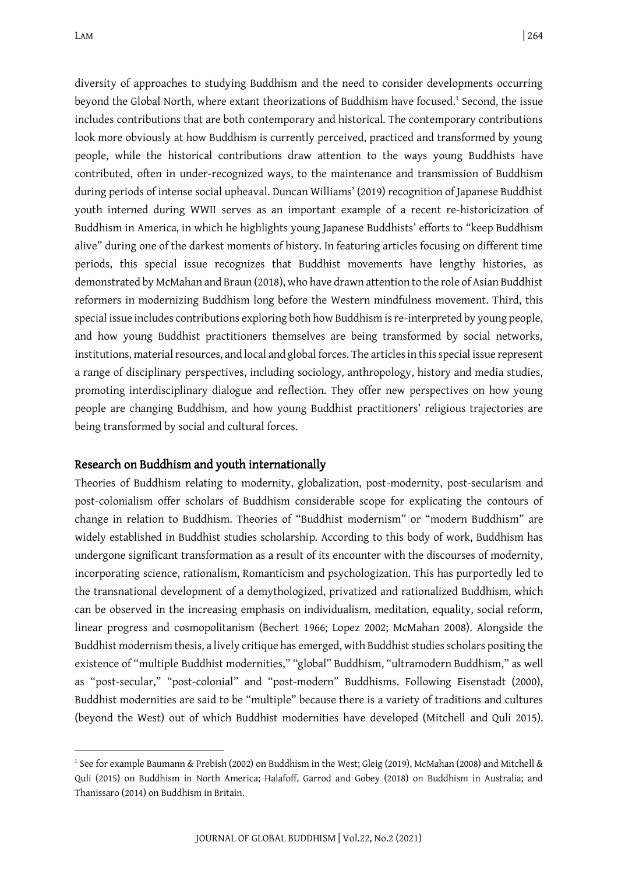diversity of approaches to studying Buddhism and the need to consider developments occurring beyond the Global North, where extant theorizations of Buddhism have focused. 1 Second, the issue includes contributions that are both contemporary and historical. The contemporary contributions look more obviously at how Buddhism is currently perceived, practiced and transformed by young people, while the historical contributions draw attention to the ways young Buddhists have contributed, often in under-recognized ways, to the maintenance and transmission of Buddhism during periods of intense social upheaval. Duncan Williams' (2019) recognition of Japanese Buddhist youth interned during WWII serves as an important example of a recent re-historicization of Buddhism in America, in which he highlights young Japanese Buddhists' efforts to "keep Buddhism alive" during one of the darkest moments of history. In featuring articles focusing on different time periods, this special issue recognizes that Buddhist movements have lengthy histories, as demonstrated by McMahan and Braun (2018), who have drawn attention to the role of Asian Buddhist reformers in modernizing Buddhism long before the Western mindfulness movement. Third, this special issue includes contributions exploring both how Buddhism is re-interpreted by young people, and how young Buddhist practitioners themselves are being transformed by social networks, institutions, material resources, and local and global forces. The articles in this special issue represent a range of disciplinary perspectives, including sociology, anthropology, history and media studies, promoting interdisciplinary dialogue and reflection. They offer new perspectives on how young people are changing Buddhism, and how young Buddhist practitioners' religious trajectories are being transformed by social and cultural forces.

### Research on Buddhism and youth internationally

Theories of Buddhism relating to modernity, globalization, post-modernity, post-secularism and post-colonialism offer scholars of Buddhism considerable scope for explicating the contours of change in relation to Buddhism. Theories of "Buddhist modernism" or "modern Buddhism" are widely established in Buddhist studies scholarship. According to this body of work, Buddhism has undergone significant transformation as a result of its encounter with the discourses of modernity, incorporating science, rationalism, Romanticism and psychologization. This has purportedly led to the transnational development of a demythologized, privatized and rationalized Buddhism, which can be observed in the increasing emphasis on individualism, meditation, equality, social reform, linear progress and cosmopolitanism (Bechert 1966; Lopez 2002; McMahan 2008). Alongside the Buddhist modernism thesis, a lively critique has emerged, with Buddhist studies scholars positing the existence of "multiple Buddhist modernities," "global" Buddhism, "ultramodern Buddhism," as well as "post-secular," "post-colonial" and "post-modern" Buddhisms. Following Eisenstadt (2000), Buddhist modernities are said to be "multiple" because there is a variety of traditions and cultures (beyond the West) out of which Buddhist modernities have developed (Mitchell and Quli 2015).

<sup>1</sup> See for example Baumann & Prebish (2002) on Buddhism in the West; Gleig (2019), McMahan (2008) and Mitchell & Quli (2015) on Buddhism in North America; Halafoff, Garrod and Gobey (2018) on Buddhism in Australia; and Thanissaro (2014) on Buddhism in Britain.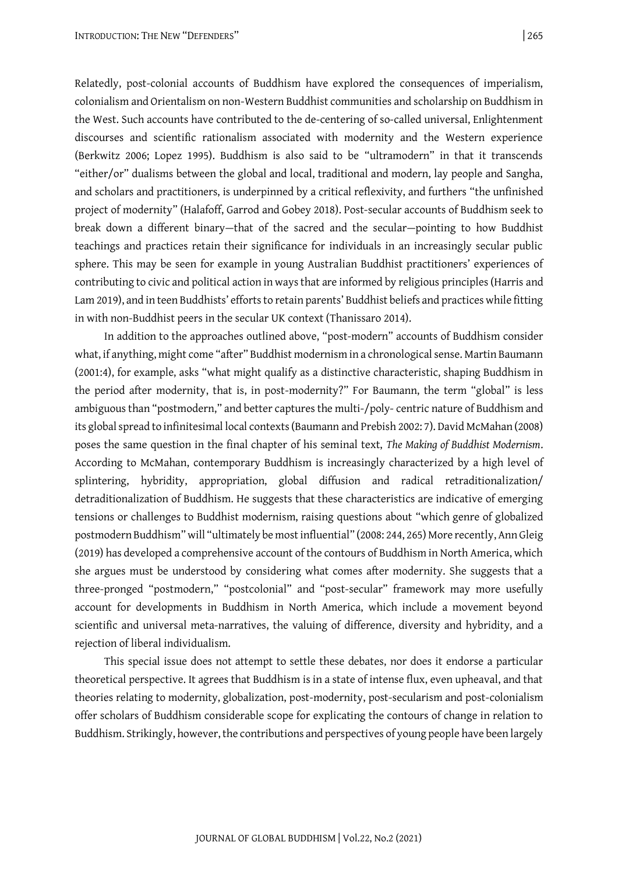Relatedly, post-colonial accounts of Buddhism have explored the consequences of imperialism, colonialism and Orientalism on non-Western Buddhist communities and scholarship on Buddhism in the West. Such accounts have contributed to the de-centering of so-called universal, Enlightenment discourses and scientific rationalism associated with modernity and the Western experience (Berkwitz 2006; Lopez 1995). Buddhism is also said to be "ultramodern" in that it transcends "either/or" dualisms between the global and local, traditional and modern, lay people and Sangha, and scholars and practitioners, is underpinned by a critical reflexivity, and furthers "the unfinished project of modernity" (Halafoff, Garrod and Gobey 2018). Post-secular accounts of Buddhism seek to break down a different binary—that of the sacred and the secular—pointing to how Buddhist teachings and practices retain their significance for individuals in an increasingly secular public sphere. This may be seen for example in young Australian Buddhist practitioners' experiences of contributing to civic and political action in ways that are informed by religious principles (Harris and Lam 2019), and in teen Buddhists' efforts to retain parents' Buddhist beliefs and practices while fitting in with non-Buddhist peers in the secular UK context (Thanissaro 2014).

In addition to the approaches outlined above, "post-modern" accounts of Buddhism consider what, if anything, might come "after" Buddhist modernism in a chronological sense. Martin Baumann (2001:4), for example, asks "what might qualify as a distinctive characteristic, shaping Buddhism in the period after modernity, that is, in post-modernity?" For Baumann, the term "global" is less ambiguous than "postmodern," and better captures the multi-/poly- centric nature of Buddhism and its global spread to infinitesimal local contexts (Baumann and Prebish 2002: 7). David McMahan (2008) poses the same question in the final chapter of his seminal text, *The Making of Buddhist Modernism*. According to McMahan, contemporary Buddhism is increasingly characterized by a high level of splintering, hybridity, appropriation, global diffusion and radical retraditionalization/ detraditionalization of Buddhism. He suggests that these characteristics are indicative of emerging tensions or challenges to Buddhist modernism, raising questions about "which genre of globalized postmodern Buddhism" will "ultimately be most influential" (2008: 244, 265) More recently, Ann Gleig (2019) has developed a comprehensive account of the contours of Buddhism in North America, which she argues must be understood by considering what comes after modernity. She suggests that a three-pronged "postmodern," "postcolonial" and "post-secular" framework may more usefully account for developments in Buddhism in North America, which include a movement beyond scientific and universal meta-narratives, the valuing of difference, diversity and hybridity, and a rejection of liberal individualism.

This special issue does not attempt to settle these debates, nor does it endorse a particular theoretical perspective. It agrees that Buddhism is in a state of intense flux, even upheaval, and that theories relating to modernity, globalization, post-modernity, post-secularism and post-colonialism offer scholars of Buddhism considerable scope for explicating the contours of change in relation to Buddhism. Strikingly, however, the contributions and perspectives of young people have been largely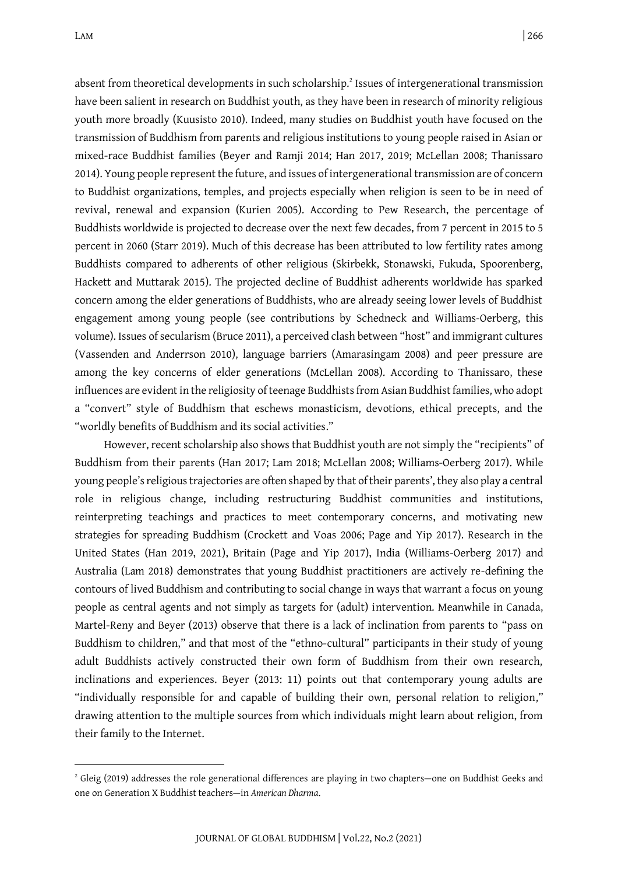absent from theoretical developments in such scholarship.<sup>2</sup> Issues of intergenerational transmission have been salient in research on Buddhist youth, as they have been in research of minority religious youth more broadly (Kuusisto 2010). Indeed, many studies on Buddhist youth have focused on the transmission of Buddhism from parents and religious institutions to young people raised in Asian or mixed-race Buddhist families (Beyer and Ramji 2014; Han 2017, 2019; McLellan 2008; Thanissaro 2014). Young people represent the future, and issues of intergenerational transmission are of concern to Buddhist organizations, temples, and projects especially when religion is seen to be in need of revival, renewal and expansion (Kurien 2005). According to Pew Research, the percentage of Buddhists worldwide is projected to decrease over the next few decades, from 7 percent in 2015 to 5 percent in 2060 (Starr 2019). Much of this decrease has been attributed to low fertility rates among Buddhists compared to adherents of other religious (Skirbekk, Stonawski, Fukuda, Spoorenberg, Hackett and Muttarak 2015). The projected decline of Buddhist adherents worldwide has sparked concern among the elder generations of Buddhists, who are already seeing lower levels of Buddhist engagement among young people (see contributions by Schedneck and Williams-Oerberg, this volume). Issues of secularism (Bruce 2011), a perceived clash between "host" and immigrant cultures (Vassenden and Anderrson 2010), language barriers (Amarasingam 2008) and peer pressure are among the key concerns of elder generations (McLellan 2008). According to Thanissaro, these influences are evident in the religiosity of teenage Buddhists from Asian Buddhist families, who adopt a "convert" style of Buddhism that eschews monasticism, devotions, ethical precepts, and the "worldly benefits of Buddhism and its social activities."

However, recent scholarship also shows that Buddhist youth are not simply the "recipients" of Buddhism from their parents (Han 2017; Lam 2018; McLellan 2008; Williams-Oerberg 2017). While young people's religious trajectories are often shaped by that of their parents', they also play a central role in religious change, including restructuring Buddhist communities and institutions, reinterpreting teachings and practices to meet contemporary concerns, and motivating new strategies for spreading Buddhism (Crockett and Voas 2006; Page and Yip 2017). Research in the United States (Han 2019, 2021), Britain (Page and Yip 2017), India (Williams-Oerberg 2017) and Australia (Lam 2018) demonstrates that young Buddhist practitioners are actively re-defining the contours of lived Buddhism and contributing to social change in ways that warrant a focus on young people as central agents and not simply as targets for (adult) intervention. Meanwhile in Canada, Martel-Reny and Beyer (2013) observe that there is a lack of inclination from parents to "pass on Buddhism to children," and that most of the "ethno-cultural" participants in their study of young adult Buddhists actively constructed their own form of Buddhism from their own research, inclinations and experiences. Beyer (2013: 11) points out that contemporary young adults are "individually responsible for and capable of building their own, personal relation to religion," drawing attention to the multiple sources from which individuals might learn about religion, from their family to the Internet.

<sup>&</sup>lt;sup>2</sup> Gleig (2019) addresses the role generational differences are playing in two chapters—one on Buddhist Geeks and one on Generation X Buddhist teachers—in *American Dharma*.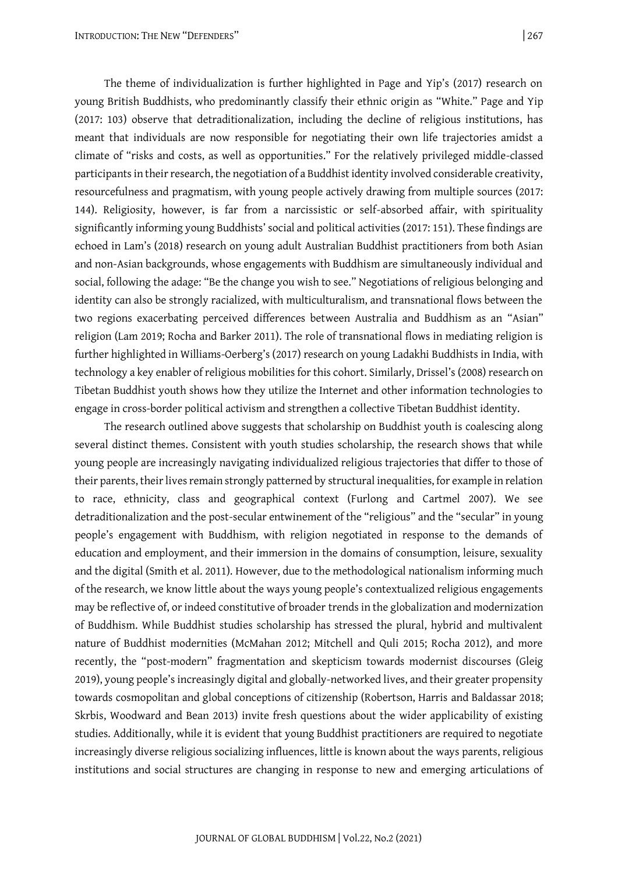The theme of individualization is further highlighted in Page and Yip's (2017) research on young British Buddhists, who predominantly classify their ethnic origin as "White." Page and Yip (2017: 103) observe that detraditionalization, including the decline of religious institutions, has meant that individuals are now responsible for negotiating their own life trajectories amidst a climate of "risks and costs, as well as opportunities." For the relatively privileged middle-classed participants in their research, the negotiation of a Buddhist identity involved considerable creativity, resourcefulness and pragmatism, with young people actively drawing from multiple sources (2017: 144). Religiosity, however, is far from a narcissistic or self-absorbed affair, with spirituality significantly informing young Buddhists' social and political activities (2017: 151). These findings are echoed in Lam's (2018) research on young adult Australian Buddhist practitioners from both Asian and non-Asian backgrounds, whose engagements with Buddhism are simultaneously individual and social, following the adage: "Be the change you wish to see." Negotiations of religious belonging and identity can also be strongly racialized, with multiculturalism, and transnational flows between the two regions exacerbating perceived differences between Australia and Buddhism as an "Asian" religion (Lam 2019; Rocha and Barker 2011). The role of transnational flows in mediating religion is further highlighted in Williams-Oerberg's (2017) research on young Ladakhi Buddhists in India, with technology a key enabler of religious mobilities for this cohort. Similarly, Drissel's (2008) research on Tibetan Buddhist youth shows how they utilize the Internet and other information technologies to engage in cross-border political activism and strengthen a collective Tibetan Buddhist identity.

The research outlined above suggests that scholarship on Buddhist youth is coalescing along several distinct themes. Consistent with youth studies scholarship, the research shows that while young people are increasingly navigating individualized religious trajectories that differ to those of their parents, their lives remain strongly patterned by structural inequalities, for example in relation to race, ethnicity, class and geographical context (Furlong and Cartmel 2007). We see detraditionalization and the post-secular entwinement of the "religious" and the "secular" in young people's engagement with Buddhism, with religion negotiated in response to the demands of education and employment, and their immersion in the domains of consumption, leisure, sexuality and the digital (Smith et al. 2011). However, due to the methodological nationalism informing much of the research, we know little about the ways young people's contextualized religious engagements may be reflective of, or indeed constitutive of broader trends in the globalization and modernization of Buddhism. While Buddhist studies scholarship has stressed the plural, hybrid and multivalent nature of Buddhist modernities (McMahan 2012; Mitchell and Quli 2015; Rocha 2012), and more recently, the "post-modern" fragmentation and skepticism towards modernist discourses (Gleig 2019), young people's increasingly digital and globally-networked lives, and their greater propensity towards cosmopolitan and global conceptions of citizenship (Robertson, Harris and Baldassar 2018; Skrbis, Woodward and Bean 2013) invite fresh questions about the wider applicability of existing studies. Additionally, while it is evident that young Buddhist practitioners are required to negotiate increasingly diverse religious socializing influences, little is known about the ways parents, religious institutions and social structures are changing in response to new and emerging articulations of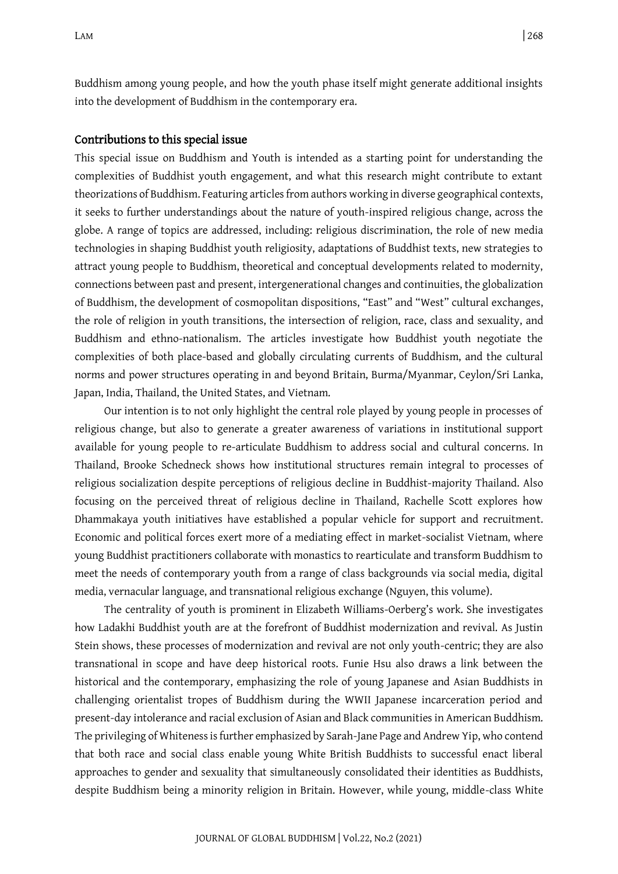Buddhism among young people, and how the youth phase itself might generate additional insights into the development of Buddhism in the contemporary era.

#### Contributions to this special issue

This special issue on Buddhism and Youth is intended as a starting point for understanding the complexities of Buddhist youth engagement, and what this research might contribute to extant theorizations of Buddhism. Featuring articles from authors working in diverse geographical contexts, it seeks to further understandings about the nature of youth-inspired religious change, across the globe. A range of topics are addressed, including: religious discrimination, the role of new media technologies in shaping Buddhist youth religiosity, adaptations of Buddhist texts, new strategies to attract young people to Buddhism, theoretical and conceptual developments related to modernity, connections between past and present, intergenerational changes and continuities, the globalization of Buddhism, the development of cosmopolitan dispositions, "East" and "West" cultural exchanges, the role of religion in youth transitions, the intersection of religion, race, class and sexuality, and Buddhism and ethno-nationalism. The articles investigate how Buddhist youth negotiate the complexities of both place-based and globally circulating currents of Buddhism, and the cultural norms and power structures operating in and beyond Britain, Burma/Myanmar, Ceylon/Sri Lanka, Japan, India, Thailand, the United States, and Vietnam.

Our intention is to not only highlight the central role played by young people in processes of religious change, but also to generate a greater awareness of variations in institutional support available for young people to re-articulate Buddhism to address social and cultural concerns. In Thailand, Brooke Schedneck shows how institutional structures remain integral to processes of religious socialization despite perceptions of religious decline in Buddhist-majority Thailand. Also focusing on the perceived threat of religious decline in Thailand, Rachelle Scott explores how Dhammakaya youth initiatives have established a popular vehicle for support and recruitment. Economic and political forces exert more of a mediating effect in market-socialist Vietnam, where young Buddhist practitioners collaborate with monastics to rearticulate and transform Buddhism to meet the needs of contemporary youth from a range of class backgrounds via social media, digital media, vernacular language, and transnational religious exchange (Nguyen, this volume).

The centrality of youth is prominent in Elizabeth Williams-Oerberg's work. She investigates how Ladakhi Buddhist youth are at the forefront of Buddhist modernization and revival. As Justin Stein shows, these processes of modernization and revival are not only youth-centric; they are also transnational in scope and have deep historical roots. Funie Hsu also draws a link between the historical and the contemporary, emphasizing the role of young Japanese and Asian Buddhists in challenging orientalist tropes of Buddhism during the WWII Japanese incarceration period and present-day intolerance and racial exclusion of Asian and Black communities in American Buddhism. The privileging of Whiteness is further emphasized by Sarah-Jane Page and Andrew Yip, who contend that both race and social class enable young White British Buddhists to successful enact liberal approaches to gender and sexuality that simultaneously consolidated their identities as Buddhists, despite Buddhism being a minority religion in Britain. However, while young, middle-class White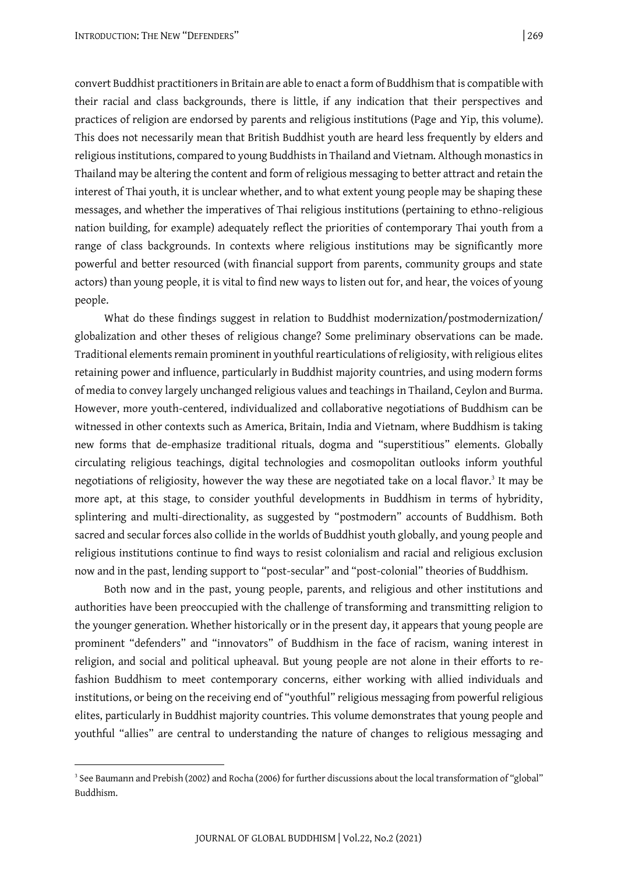convert Buddhist practitioners in Britain are able to enact a form of Buddhism that is compatible with their racial and class backgrounds, there is little, if any indication that their perspectives and practices of religion are endorsed by parents and religious institutions (Page and Yip, this volume). This does not necessarily mean that British Buddhist youth are heard less frequently by elders and religious institutions, compared to young Buddhists in Thailand and Vietnam. Although monastics in Thailand may be altering the content and form of religious messaging to better attract and retain the interest of Thai youth, it is unclear whether, and to what extent young people may be shaping these messages, and whether the imperatives of Thai religious institutions (pertaining to ethno-religious nation building, for example) adequately reflect the priorities of contemporary Thai youth from a range of class backgrounds. In contexts where religious institutions may be significantly more powerful and better resourced (with financial support from parents, community groups and state actors) than young people, it is vital to find new ways to listen out for, and hear, the voices of young people.

What do these findings suggest in relation to Buddhist modernization/postmodernization/ globalization and other theses of religious change? Some preliminary observations can be made. Traditional elements remain prominent in youthful rearticulations of religiosity, with religious elites retaining power and influence, particularly in Buddhist majority countries, and using modern forms of media to convey largely unchanged religious values and teachings in Thailand, Ceylon and Burma. However, more youth-centered, individualized and collaborative negotiations of Buddhism can be witnessed in other contexts such as America, Britain, India and Vietnam, where Buddhism is taking new forms that de-emphasize traditional rituals, dogma and "superstitious" elements. Globally circulating religious teachings, digital technologies and cosmopolitan outlooks inform youthful negotiations of religiosity, however the way these are negotiated take on a local flavor.<sup>3</sup> It may be more apt, at this stage, to consider youthful developments in Buddhism in terms of hybridity, splintering and multi-directionality, as suggested by "postmodern" accounts of Buddhism. Both sacred and secular forces also collide in the worlds of Buddhist youth globally, and young people and religious institutions continue to find ways to resist colonialism and racial and religious exclusion now and in the past, lending support to "post-secular" and "post-colonial" theories of Buddhism.

Both now and in the past, young people, parents, and religious and other institutions and authorities have been preoccupied with the challenge of transforming and transmitting religion to the younger generation. Whether historically or in the present day, it appears that young people are prominent "defenders" and "innovators" of Buddhism in the face of racism, waning interest in religion, and social and political upheaval. But young people are not alone in their efforts to refashion Buddhism to meet contemporary concerns, either working with allied individuals and institutions, or being on the receiving end of "youthful" religious messaging from powerful religious elites, particularly in Buddhist majority countries. This volume demonstrates that young people and youthful "allies" are central to understanding the nature of changes to religious messaging and

<sup>3</sup> See Baumann and Prebish (2002) and Rocha (2006) for further discussions about the local transformation of "global" Buddhism.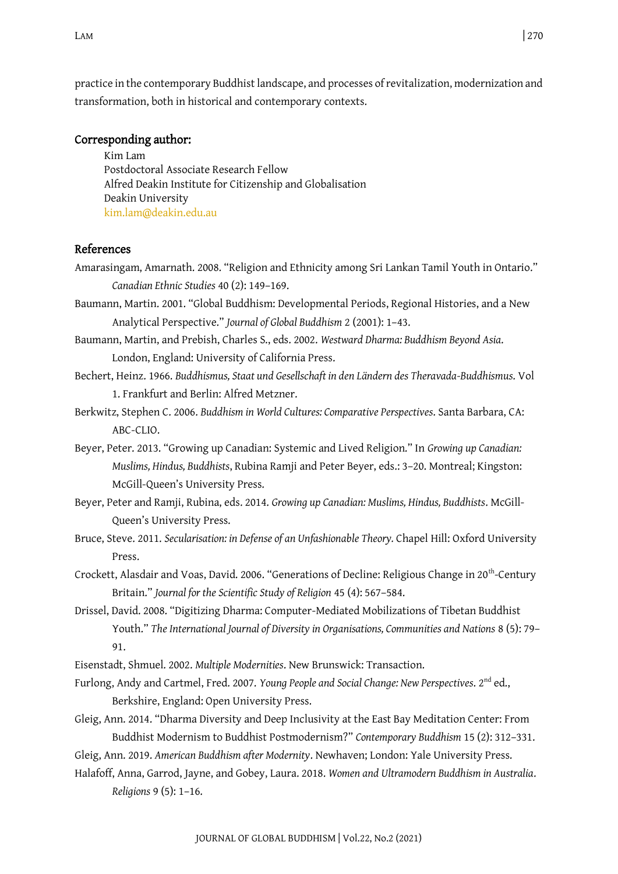practice in the contemporary Buddhist landscape, and processes of revitalization, modernization and transformation, both in historical and contemporary contexts.

#### Corresponding author:

Kim Lam Postdoctoral Associate Research Fellow Alfred Deakin Institute for Citizenship and Globalisation Deakin University [kim.lam@deakin.edu.au](mailto:kim.lam@deakin.edu.au)

## References

- Amarasingam, Amarnath. 2008. "Religion and Ethnicity among Sri Lankan Tamil Youth in Ontario." *Canadian Ethnic Studies* 40 (2): 149–169.
- Baumann, Martin. 2001. "Global Buddhism: Developmental Periods, Regional Histories, and a New Analytical Perspective." *Journal of Global Buddhism* 2 (2001): 1–43.
- Baumann, Martin, and Prebish, Charles S., eds. 2002. *Westward Dharma: Buddhism Beyond Asia*. London, England: University of California Press.
- Bechert, Heinz. 1966. *Buddhismus, Staat und Gesellschaft in den Ländern des Theravada-Buddhismus*. Vol 1. Frankfurt and Berlin: Alfred Metzner.
- Berkwitz, Stephen C. 2006. *Buddhism in World Cultures: Comparative Perspectives*. Santa Barbara, CA: ABC-CLIO.
- Beyer, Peter. 2013. "Growing up Canadian: Systemic and Lived Religion." In *Growing up Canadian: Muslims, Hindus, Buddhists*, Rubina Ramji and Peter Beyer, eds.: 3–20. Montreal; Kingston: McGill-Queen's University Press.
- Beyer, Peter and Ramji, Rubina, eds. 2014. *Growing up Canadian: Muslims, Hindus, Buddhists*. McGill-Queen's University Press.
- Bruce, Steve. 2011. *Secularisation: in Defense of an Unfashionable Theory.* Chapel Hill: Oxford University Press.
- Crockett, Alasdair and Voas, David. 2006. "Generations of Decline: Religious Change in 20<sup>th</sup>-Century Britain." *Journal for the Scientific Study of Religion* 45 (4): 567–584.
- Drissel, David. 2008. "Digitizing Dharma: Computer-Mediated Mobilizations of Tibetan Buddhist Youth." *The International Journal of Diversity in Organisations, Communities and Nations* 8 (5): 79– 91.

Eisenstadt, Shmuel. 2002. *Multiple Modernities*. New Brunswick: Transaction.

Furlong, Andy and Cartmel, Fred. 2007. *Young People and Social Change: New Perspectives*. 2<sup>nd</sup> ed., Berkshire, England: Open University Press.

Gleig, Ann. 2014. "Dharma Diversity and Deep Inclusivity at the East Bay Meditation Center: From Buddhist Modernism to Buddhist Postmodernism?" *Contemporary Buddhism* 15 (2): 312–331.

Gleig, Ann. 2019. *American Buddhism after Modernity*. Newhaven; London: Yale University Press.

Halafoff, Anna, Garrod, Jayne, and Gobey, Laura. 2018. *Women and Ultramodern Buddhism in Australia*. *Religions* 9 (5): 1–16.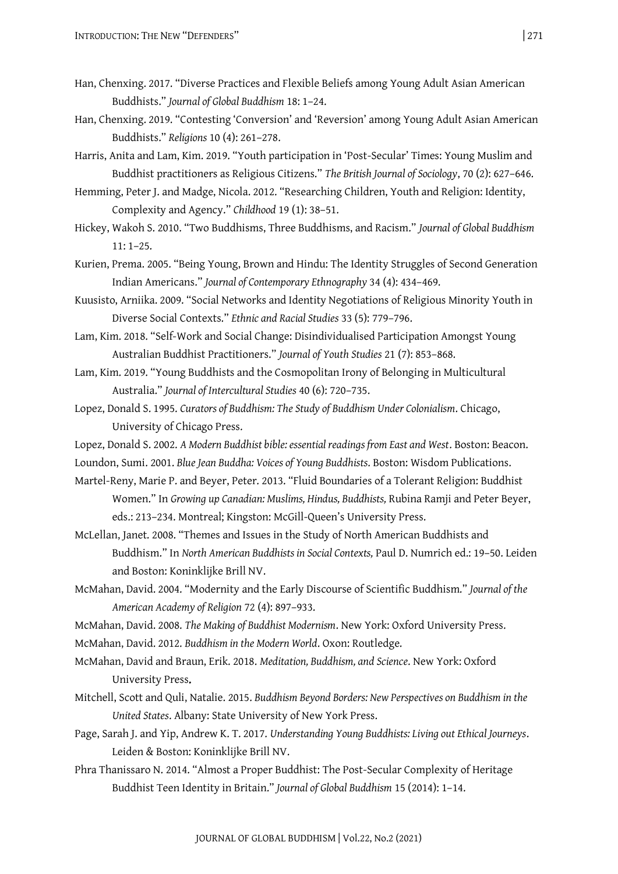- Han, Chenxing. 2017. "Diverse Practices and Flexible Beliefs among Young Adult Asian American Buddhists." *Journal of Global Buddhism* 18: 1–24.
- Han, Chenxing. 2019. "Contesting 'Conversion' and 'Reversion' among Young Adult Asian American Buddhists." *Religions* 10 (4): 261–278.
- Harris, Anita and Lam, Kim. 2019. "Youth participation in 'Post-Secular' Times: Young Muslim and Buddhist practitioners as Religious Citizens." *The British Journal of Sociology*, 70 (2): 627–646.
- Hemming, Peter J. and Madge, Nicola. 2012. "Researching Children, Youth and Religion: Identity, Complexity and Agency." *Childhood* 19 (1): 38–51.
- Hickey, Wakoh S. 2010. "Two Buddhisms, Three Buddhisms, and Racism." *Journal of Global Buddhism* 11: 1–25.
- Kurien, Prema. 2005. "Being Young, Brown and Hindu: The Identity Struggles of Second Generation Indian Americans." *Journal of Contemporary Ethnography* 34 (4): 434–469.
- Kuusisto, Arniika. 2009. "Social Networks and Identity Negotiations of Religious Minority Youth in Diverse Social Contexts." *Ethnic and Racial Studies* 33 (5): 779–796.
- Lam, Kim. 2018. "Self-Work and Social Change: Disindividualised Participation Amongst Young Australian Buddhist Practitioners." *Journal of Youth Studies* 21 (7): 853–868.
- Lam, Kim. 2019. "Young Buddhists and the Cosmopolitan Irony of Belonging in Multicultural Australia." *Journal of Intercultural Studies* 40 (6): 720–735.
- Lopez, Donald S. 1995. *Curators of Buddhism: The Study of Buddhism Under Colonialism*. Chicago, University of Chicago Press.
- Lopez, Donald S. 2002. *A Modern Buddhist bible: essential readings from East and West*. Boston: Beacon.
- Loundon, Sumi. 2001. *Blue Jean Buddha: Voices of Young Buddhists*. Boston: Wisdom Publications.
- Martel-Reny, Marie P. and Beyer, Peter. 2013. "Fluid Boundaries of a Tolerant Religion: Buddhist Women." In *Growing up Canadian: Muslims, Hindus, Buddhists,* Rubina Ramji and Peter Beyer, eds.: 213–234. Montreal; Kingston: McGill-Queen's University Press.
- McLellan, Janet. 2008. "Themes and Issues in the Study of North American Buddhists and Buddhism." In *North American Buddhists in Social Contexts,* Paul D. Numrich ed.: 19–50. Leiden and Boston: Koninklijke Brill NV.
- McMahan, David. 2004. "Modernity and the Early Discourse of Scientific Buddhism." *Journal of the American Academy of Religion* 72 (4): 897–933.
- McMahan, David. 2008. *The Making of Buddhist Modernism*. New York: Oxford University Press.
- McMahan, David. 2012. *Buddhism in the Modern World*. Oxon: Routledge.
- McMahan, David and Braun, Erik. 2018. *Meditation, Buddhism, and Science*. New York: Oxford University Press.
- Mitchell, Scott and Quli, Natalie. 2015. *Buddhism Beyond Borders: New Perspectives on Buddhism in the United States*. Albany: State University of New York Press.
- Page, Sarah J. and Yip, Andrew K. T. 2017. *Understanding Young Buddhists: Living out Ethical Journeys*. Leiden & Boston: Koninklijke Brill NV.
- Phra Thanissaro N. 2014. "Almost a Proper Buddhist: The Post-Secular Complexity of Heritage Buddhist Teen Identity in Britain." *Journal of Global Buddhism* 15 (2014): 1–14.